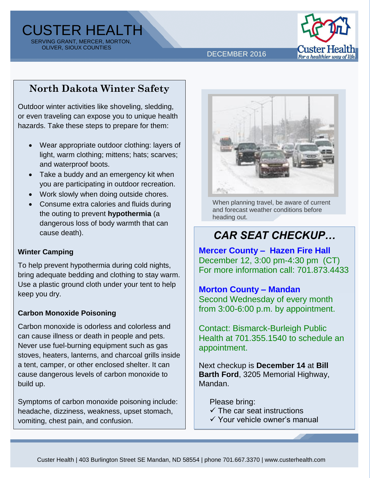CUSTER HEALTH SERVING GRANT, MERCER, MORTON, OLIVER, SIOUX COUNTIES



DECEMBER 2016

## **North Dakota Winter Safety**

Outdoor winter activities like shoveling, sledding, or even traveling can expose you to unique health hazards. Take these steps to prepare for them:

- Wear appropriate outdoor clothing: layers of light, warm clothing; mittens; hats; scarves; and waterproof boots.
- Take a buddy and an emergency kit when you are participating in outdoor recreation.
- Work slowly when doing outside chores.
- Consume extra calories and fluids during the outing to prevent **hypothermia** (a dangerous loss of body warmth that can cause death).

#### **Winter Camping**

To help prevent hypothermia during cold nights, bring adequate bedding and clothing to stay warm. Use a plastic ground cloth under your tent to help keep you dry.

#### **Carbon Monoxide Poisoning**

Carbon monoxide is odorless and colorless and can cause illness or death in people and pets. Never use fuel-burning equipment such as gas stoves, heaters, lanterns, and charcoal grills inside a tent, camper, or other enclosed shelter. It can cause dangerous levels of carbon monoxide to build up.

Symptoms of carbon monoxide poisoning include: headache, dizziness, weakness, upset stomach, vomiting, chest pain, and confusion.



When planning travel, be aware of current and forecast weather conditions before heading out.

# *CAR SEAT CHECKUP…*

**Mercer County – Hazen Fire Hall** December 12, 3:00 pm-4:30 pm (CT) For more information call: 701.873.4433

#### **Morton County – Mandan**

Second Wednesday of every month from 3:00-6:00 p.m. by appointment.

Contact: Bismarck-Burleigh Public Health at 701.355.1540 to schedule an appointment.

Next checkup is **December 14** at **Bill Barth Ford**, 3205 Memorial Highway, Mandan.

Please bring:

- $\checkmark$  The car seat instructions
- Your vehicle owner's manual